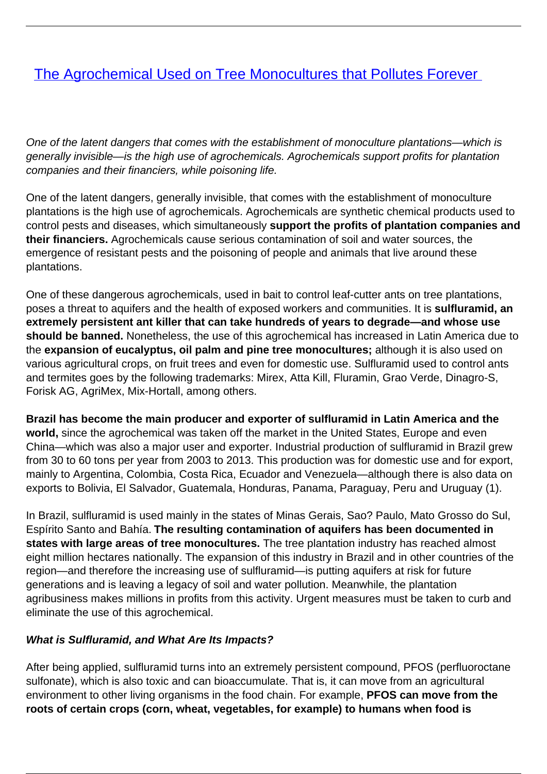# [The Agrochemical Used on Tree Monocultures that Pollutes Forever](/bulletin-articles/the-agrochemical-used-on-tree-monocultures-that-pollutes-forever)

One of the latent dangers that comes with the establishment of monoculture plantations—which is generally invisible—is the high use of agrochemicals. Agrochemicals support profits for plantation companies and their financiers, while poisoning life.

One of the latent dangers, generally invisible, that comes with the establishment of monoculture plantations is the high use of agrochemicals. Agrochemicals are synthetic chemical products used to control pests and diseases, which simultaneously **support the profits of plantation companies and their financiers.** Agrochemicals cause serious contamination of soil and water sources, the emergence of resistant pests and the poisoning of people and animals that live around these plantations.

One of these dangerous agrochemicals, used in bait to control leaf-cutter ants on tree plantations, poses a threat to aquifers and the health of exposed workers and communities. It is **sulfluramid, an extremely persistent ant killer that can take hundreds of years to degrade—and whose use should be banned.** Nonetheless, the use of this agrochemical has increased in Latin America due to the **expansion of eucalyptus, oil palm and pine tree monocultures;** although it is also used on various agricultural crops, on fruit trees and even for domestic use. Sulfluramid used to control ants and termites goes by the following trademarks: Mirex, Atta Kill, Fluramin, Grao Verde, Dinagro-S, Forisk AG, AgriMex, Mix-Hortall, among others.

**Brazil has become the main producer and exporter of sulfluramid in Latin America and the world,** since the agrochemical was taken off the market in the United States, Europe and even China—which was also a major user and exporter. Industrial production of sulfluramid in Brazil grew from 30 to 60 tons per year from 2003 to 2013. This production was for domestic use and for export, mainly to Argentina, Colombia, Costa Rica, Ecuador and Venezuela—although there is also data on exports to Bolivia, El Salvador, Guatemala, Honduras, Panama, Paraguay, Peru and Uruguay (1).

In Brazil, sulfluramid is used mainly in the states of Minas Gerais, Sao? Paulo, Mato Grosso do Sul, Espírito Santo and Bahía. **The resulting contamination of aquifers has been documented in states with large areas of tree monocultures.** The tree plantation industry has reached almost eight million hectares nationally. The expansion of this industry in Brazil and in other countries of the region—and therefore the increasing use of sulfluramid—is putting aquifers at risk for future generations and is leaving a legacy of soil and water pollution. Meanwhile, the plantation agribusiness makes millions in profits from this activity. Urgent measures must be taken to curb and eliminate the use of this agrochemical.

### **What is Sulfluramid, and What Are Its Impacts?**

After being applied, sulfluramid turns into an extremely persistent compound, PFOS (perfluoroctane sulfonate), which is also toxic and can bioaccumulate. That is, it can move from an agricultural environment to other living organisms in the food chain. For example, **PFOS can move from the roots of certain crops (corn, wheat, vegetables, for example) to humans when food is**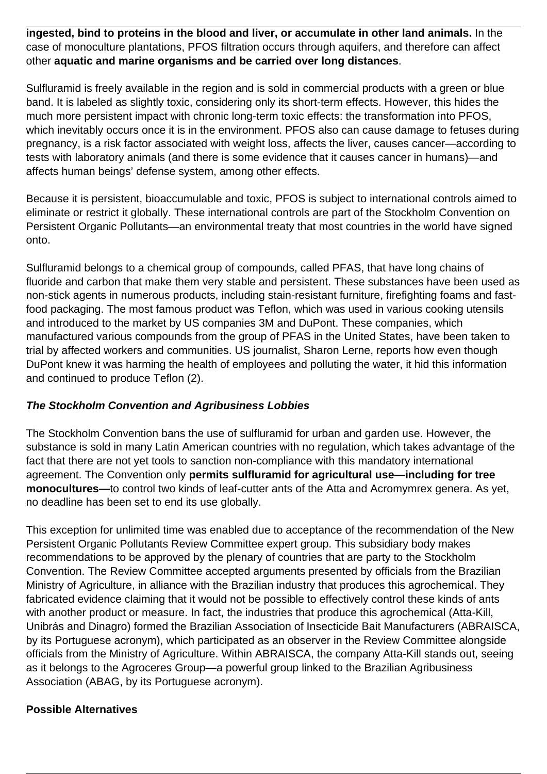**ingested, bind to proteins in the blood and liver, or accumulate in other land animals.** In the case of monoculture plantations, PFOS filtration occurs through aquifers, and therefore can affect other **aquatic and marine organisms and be carried over long distances**.

Sulfluramid is freely available in the region and is sold in commercial products with a green or blue band. It is labeled as slightly toxic, considering only its short-term effects. However, this hides the much more persistent impact with chronic long-term toxic effects: the transformation into PFOS, which inevitably occurs once it is in the environment. PFOS also can cause damage to fetuses during pregnancy, is a risk factor associated with weight loss, affects the liver, causes cancer—according to tests with laboratory animals (and there is some evidence that it causes cancer in humans)—and affects human beings' defense system, among other effects.

Because it is persistent, bioaccumulable and toxic, PFOS is subject to international controls aimed to eliminate or restrict it globally. These international controls are part of the Stockholm Convention on Persistent Organic Pollutants—an environmental treaty that most countries in the world have signed onto.

Sulfluramid belongs to a chemical group of compounds, called PFAS, that have long chains of fluoride and carbon that make them very stable and persistent. These substances have been used as non-stick agents in numerous products, including stain-resistant furniture, firefighting foams and fastfood packaging. The most famous product was Teflon, which was used in various cooking utensils and introduced to the market by US companies 3M and DuPont. These companies, which manufactured various compounds from the group of PFAS in the United States, have been taken to trial by affected workers and communities. US journalist, Sharon Lerne, reports how even though DuPont knew it was harming the health of employees and polluting the water, it hid this information and continued to produce Teflon (2).

### **The Stockholm Convention and Agribusiness Lobbies**

The Stockholm Convention bans the use of sulfluramid for urban and garden use. However, the substance is sold in many Latin American countries with no regulation, which takes advantage of the fact that there are not yet tools to sanction non-compliance with this mandatory international agreement. The Convention only **permits sulfluramid for agricultural use—including for tree monocultures—**to control two kinds of leaf-cutter ants of the Atta and Acromymrex genera. As yet, no deadline has been set to end its use globally.

This exception for unlimited time was enabled due to acceptance of the recommendation of the New Persistent Organic Pollutants Review Committee expert group. This subsidiary body makes recommendations to be approved by the plenary of countries that are party to the Stockholm Convention. The Review Committee accepted arguments presented by officials from the Brazilian Ministry of Agriculture, in alliance with the Brazilian industry that produces this agrochemical. They fabricated evidence claiming that it would not be possible to effectively control these kinds of ants with another product or measure. In fact, the industries that produce this agrochemical (Atta-Kill, Unibrás and Dinagro) formed the Brazilian Association of Insecticide Bait Manufacturers (ABRAISCA, by its Portuguese acronym), which participated as an observer in the Review Committee alongside officials from the Ministry of Agriculture. Within ABRAISCA, the company Atta-Kill stands out, seeing as it belongs to the Agroceres Group—a powerful group linked to the Brazilian Agribusiness Association (ABAG, by its Portuguese acronym).

### **Possible Alternatives**